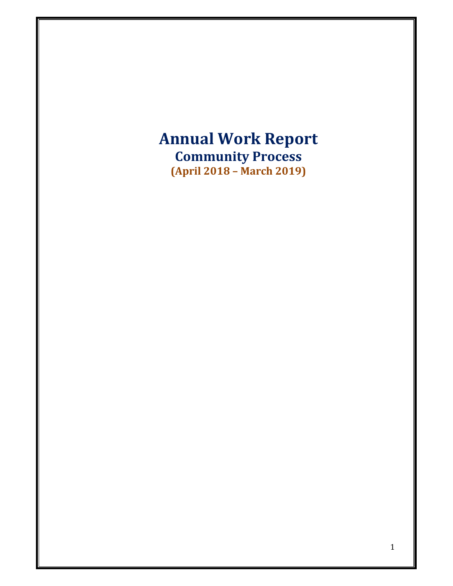# **Annual Work Report Community Process (April 2018 – March 2019)**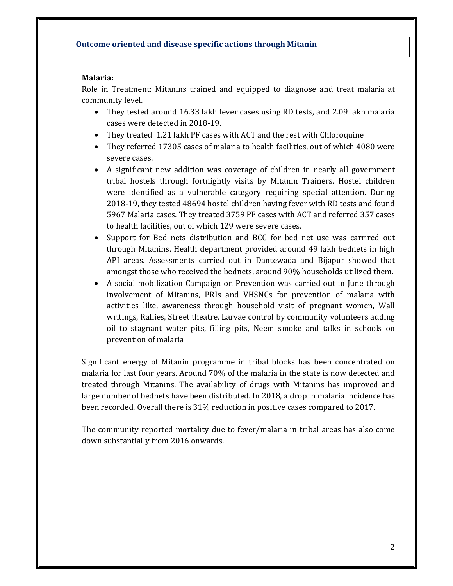#### **Malaria:**

Role in Treatment: Mitanins trained and equipped to diagnose and treat malaria at community level.

- They tested around 16.33 lakh fever cases using RD tests, and 2.09 lakh malaria cases were detected in 2018-19.
- They treated 1.21 lakh PF cases with ACT and the rest with Chloroquine
- They referred 17305 cases of malaria to health facilities, out of which 4080 were severe cases.
- A significant new addition was coverage of children in nearly all government tribal hostels through fortnightly visits by Mitanin Trainers. Hostel children were identified as a vulnerable category requiring special attention. During 2018-19, they tested 48694 hostel children having fever with RD tests and found 5967 Malaria cases. They treated 3759 PF cases with ACT and referred 357 cases to health facilities, out of which 129 were severe cases.
- Support for Bed nets distribution and BCC for bed net use was carrired out through Mitanins. Health department provided around 49 lakh bednets in high API areas. Assessments carried out in Dantewada and Bijapur showed that amongst those who received the bednets, around 90% households utilized them.
- A social mobilization Campaign on Prevention was carried out in June through involvement of Mitanins, PRIs and VHSNCs for prevention of malaria with activities like, awareness through household visit of pregnant women, Wall writings, Rallies, Street theatre, Larvae control by community volunteers adding oil to stagnant water pits, filling pits, Neem smoke and talks in schools on prevention of malaria

Significant energy of Mitanin programme in tribal blocks has been concentrated on malaria for last four years. Around 70% of the malaria in the state is now detected and treated through Mitanins. The availability of drugs with Mitanins has improved and large number of bednets have been distributed. In 2018, a drop in malaria incidence has been recorded. Overall there is 31% reduction in positive cases compared to 2017.

The community reported mortality due to fever/malaria in tribal areas has also come down substantially from 2016 onwards.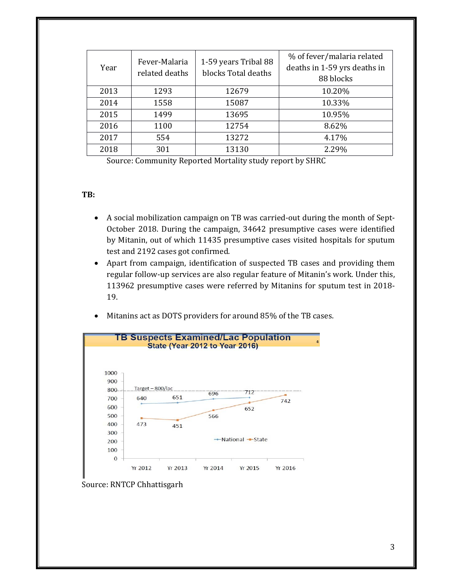| Year | Fever-Malaria<br>related deaths | 1-59 years Tribal 88<br>blocks Total deaths | % of fever/malaria related<br>deaths in 1-59 yrs deaths in<br>88 blocks |
|------|---------------------------------|---------------------------------------------|-------------------------------------------------------------------------|
| 2013 | 1293                            | 12679                                       | 10.20%                                                                  |
| 2014 | 1558                            | 15087                                       | 10.33%                                                                  |
| 2015 | 1499                            | 13695                                       | 10.95%                                                                  |
| 2016 | 1100                            | 12754                                       | 8.62%                                                                   |
| 2017 | 554                             | 13272                                       | 4.17%                                                                   |
| 2018 | 301                             | 13130                                       | 2.29%                                                                   |

Source: Community Reported Mortality study report by SHRC

#### **TB:**

- A social mobilization campaign on TB was carried-out during the month of Sept-October 2018. During the campaign, 34642 presumptive cases were identified by Mitanin, out of which 11435 presumptive cases visited hospitals for sputum test and 2192 cases got confirmed.
- Apart from campaign, identification of suspected TB cases and providing them regular follow-up services are also regular feature of Mitanin's work. Under this, 113962 presumptive cases were referred by Mitanins for sputum test in 2018-19.
- Mitanins act as DOTS providers for around 85% of the TB cases.



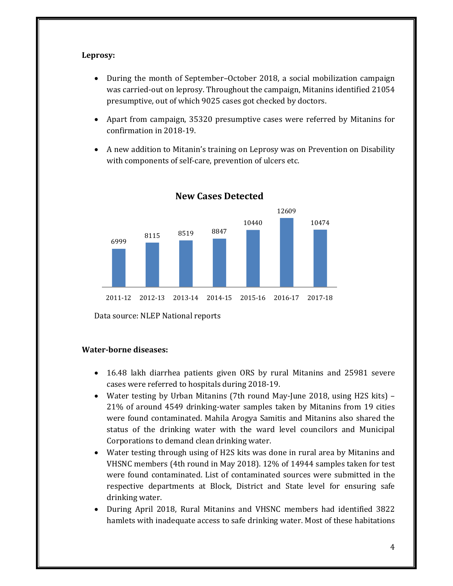#### **Leprosy:**

- During the month of September–October 2018, a social mobilization campaign was carried-out on leprosy. Throughout the campaign, Mitanins identified 21054 presumptive, out of which 9025 cases got checked by doctors.
- Apart from campaign, 35320 presumptive cases were referred by Mitanins for confirmation in 2018-19.
- A new addition to Mitanin's training on Leprosy was on Prevention on Disability with components of self-care, prevention of ulcers etc.



**New Cases Detected**

Data source: NLEP National reports

#### **Water‐borne diseases:**

- 16.48 lakh diarrhea patients given ORS by rural Mitanins and 25981 severe cases were referred to hospitals during 2018-19.
- Water testing by Urban Mitanins (7th round May-June 2018, using H2S kits) 21% of around 4549 drinking-water samples taken by Mitanins from 19 cities were found contaminated. Mahila Arogya Samitis and Mitanins also shared the status of the drinking water with the ward level councilors and Municipal Corporations to demand clean drinking water.
- Water testing through using of H2S kits was done in rural area by Mitanins and VHSNC members (4th round in May 2018). 12% of 14944 samples taken for test were found contaminated. List of contaminated sources were submitted in the respective departments at Block, District and State level for ensuring safe drinking water.
- During April 2018, Rural Mitanins and VHSNC members had identified 3822 hamlets with inadequate access to safe drinking water. Most of these habitations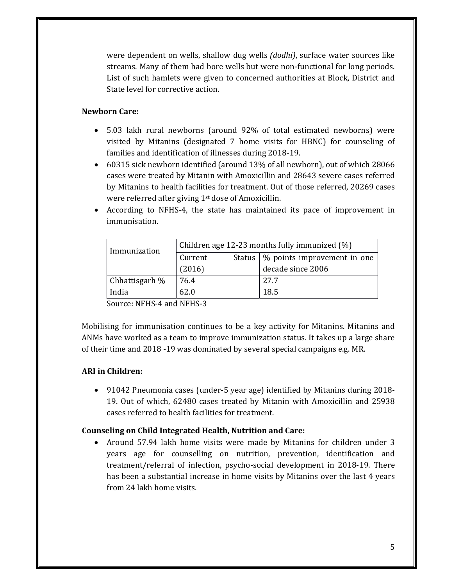were dependent on wells, shallow dug wells *(dodhi)*, surface water sources like streams. Many of them had bore wells but were non-functional for long periods. List of such hamlets were given to concerned authorities at Block, District and State level for corrective action.

## **Newborn Care:**

- 5.03 lakh rural newborns (around 92% of total estimated newborns) were visited by Mitanins (designated  $7$  home visits for HBNC) for counseling of families and identification of illnesses during 2018-19.
- 60315 sick newborn identified (around 13% of all newborn), out of which 28066 cases were treated by Mitanin with Amoxicillin and 28643 severe cases referred by Mitanins to health facilities for treatment. Out of those referred, 20269 cases were referred after giving  $1<sup>st</sup>$  dose of Amoxicillin.
- According to NFHS-4, the state has maintained its pace of improvement in immunisation.

| Status $\vert \%$ points improvement in one |
|---------------------------------------------|
|                                             |
| decade since 2006                           |
| 27.7                                        |
| 18.5                                        |
|                                             |

Source: NFHS-4 and NFHS-3

Mobilising for immunisation continues to be a key activity for Mitanins. Mitanins and ANMs have worked as a team to improve immunization status. It takes up a large share of their time and 2018 -19 was dominated by several special campaigns e.g. MR.

## **ARI in Children:**

• 91042 Pneumonia cases (under-5 year age) identified by Mitanins during 2018-19. Out of which, 62480 cases treated by Mitanin with Amoxicillin and 25938 cases referred to health facilities for treatment.

## **Counseling on Child Integrated Health, Nutrition and Care:**

• Around 57.94 lakh home visits were made by Mitanins for children under 3 years age for counselling on nutrition, prevention, identification and treatment/referral of infection, psycho-social development in 2018–19. There has been a substantial increase in home visits by Mitanins over the last 4 years from 24 lakh home visits.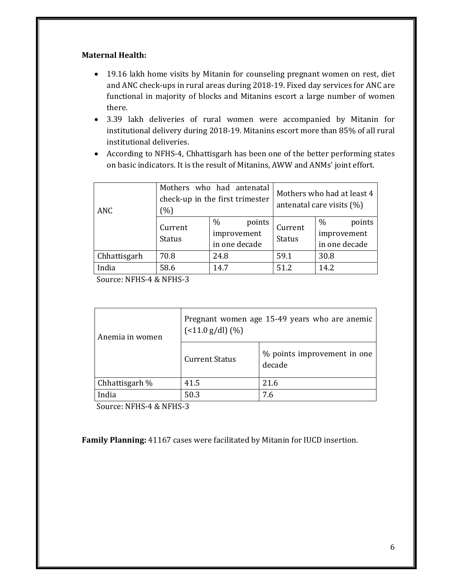#### **Maternal Health:**

- 19.16 lakh home visits by Mitanin for counseling pregnant women on rest, diet and ANC check-ups in rural areas during 2018-19. Fixed day services for ANC are functional in majority of blocks and Mitanins escort a large number of women there.
- 3.39 lakh deliveries of rural women were accompanied by Mitanin for institutional delivery during 2018-19. Mitanins escort more than 85% of all rural institutional deliveries.
- According to NFHS-4, Chhattisgarh has been one of the better performing states on basic indicators. It is the result of Mitanins, AWW and ANMs' joint effort.

| <b>ANC</b>   | Mothers who had antenatal<br>check-up in the first trimester<br>(%) |                                                |                          | Mothers who had at least 4<br>antenatal care visits $(\%)$ |
|--------------|---------------------------------------------------------------------|------------------------------------------------|--------------------------|------------------------------------------------------------|
|              | Current<br><b>Status</b>                                            | $\%$<br>points<br>improvement<br>in one decade | Current<br><b>Status</b> | $\%$<br>points<br>improvement<br>in one decade             |
| Chhattisgarh | 70.8                                                                | 24.8                                           | 59.1                     | 30.8                                                       |
| India        | 58.6                                                                | 14.7                                           | 51.2                     | 14.2                                                       |

Source: NFHS-4 & NFHS-3

| Pregnant women age 15-49 years who are anemic<br>$($ < 11.0 g/dl) $(\% )$ |                                       |  |
|---------------------------------------------------------------------------|---------------------------------------|--|
| <b>Current Status</b>                                                     | % points improvement in one<br>decade |  |
| 41.5                                                                      | 21.6                                  |  |
| 50.3                                                                      | 7.6                                   |  |
|                                                                           |                                       |  |

Source: NFHS-4 & NFHS-3

**Family Planning:** 41167 cases were facilitated by Mitanin for IUCD insertion.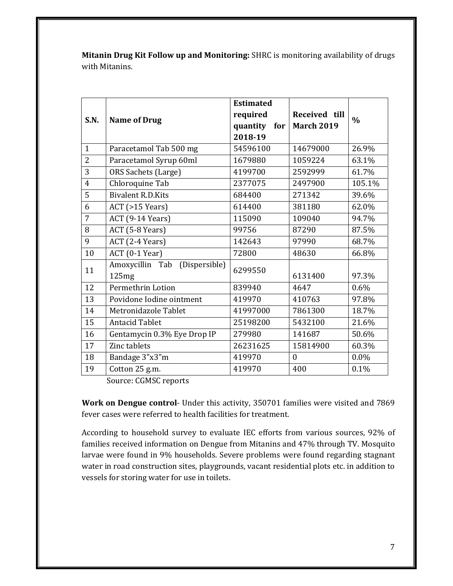**Mitanin Drug Kit Follow up and Monitoring:** SHRC is monitoring availability of drugs with Mitanins.

|                |                                  | <b>Estimated</b> |                   |               |
|----------------|----------------------------------|------------------|-------------------|---------------|
| S.N.           | <b>Name of Drug</b>              | required         | Received till     | $\frac{0}{0}$ |
|                |                                  | quantity<br>for  | <b>March 2019</b> |               |
|                |                                  | 2018-19          |                   |               |
| $\mathbf{1}$   | Paracetamol Tab 500 mg           | 54596100         | 14679000          | 26.9%         |
| $\overline{2}$ | Paracetamol Syrup 60ml           | 1679880          | 1059224           | 63.1%         |
| 3              | ORS Sachets (Large)              | 4199700          | 2592999           | 61.7%         |
| $\overline{4}$ | Chloroquine Tab                  | 2377075          | 2497900           | 105.1%        |
| $\overline{5}$ | <b>Bivalent R.D.Kits</b>         | 684400           | 271342            | 39.6%         |
| 6              | $ACT$ (>15 Years)                | 614400           | 381180            | 62.0%         |
| 7              | ACT (9-14 Years)                 | 115090           | 109040            | 94.7%         |
| 8              | ACT (5-8 Years)                  | 99756            | 87290             | 87.5%         |
| 9              | ACT (2-4 Years)                  | 142643           | 97990             | 68.7%         |
| 10             | ACT (0-1 Year)                   | 72800            | 48630             | 66.8%         |
| 11             | Amoxycillin Tab<br>(Dispersible) | 6299550          |                   |               |
|                | 125mg                            |                  | 6131400           | 97.3%         |
| 12             | Permethrin Lotion                | 839940           | 4647              | 0.6%          |
| 13             | Povidone Iodine ointment         | 419970           | 410763            | 97.8%         |
| 14             | Metronidazole Tablet             | 41997000         | 7861300           | 18.7%         |
| 15             | <b>Antacid Tablet</b>            | 25198200         | 5432100           | 21.6%         |
| 16             | Gentamycin 0.3% Eye Drop IP      | 279980           | 141687            | 50.6%         |
| 17             | Zinc tablets                     | 26231625         | 15814900          | 60.3%         |
| 18             | Bandage 3"x3"m                   | 419970           | $\boldsymbol{0}$  | $0.0\%$       |
| 19             | Cotton 25 g.m.                   | 419970           | 400               | 0.1%          |

Source: CGMSC reports

**Work on Dengue control**- Under this activity, 350701 families were visited and 7869 fever cases were referred to health facilities for treatment.

According to household survey to evaluate IEC efforts from various sources, 92% of families received information on Dengue from Mitanins and 47% through TV. Mosquito larvae were found in 9% households. Severe problems were found regarding stagnant water in road construction sites, playgrounds, vacant residential plots etc. in addition to vessels for storing water for use in toilets.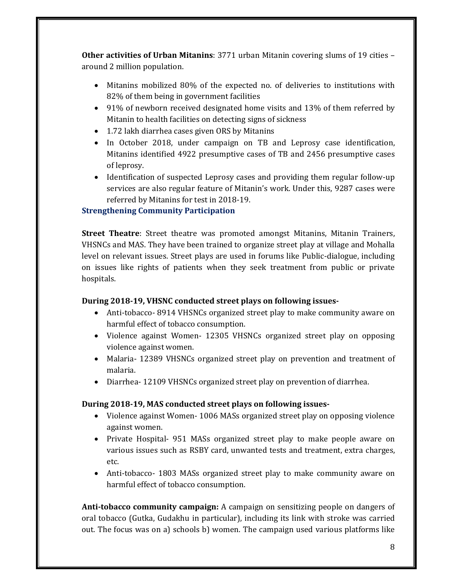**Other activities of Urban Mitanins:** 3771 urban Mitanin covering slums of 19 cities – around 2 million population.

- Mitanins mobilized 80% of the expected no. of deliveries to institutions with 82% of them being in government facilities
- 91% of newborn received designated home visits and 13% of them referred by Mitanin to health facilities on detecting signs of sickness
- 1.72 lakh diarrhea cases given ORS by Mitanins
- In October 2018, under campaign on TB and Leprosy case identification, Mitanins identified 4922 presumptive cases of TB and 2456 presumptive cases of leprosy.
- Identification of suspected Leprosy cases and providing them regular follow-up services are also regular feature of Mitanin's work. Under this, 9287 cases were referred by Mitanins for test in 2018-19.

# **Strengthening Community Participation**

**Street Theatre**: Street theatre was promoted amongst Mitanins, Mitanin Trainers, VHSNCs and MAS. They have been trained to organize street play at village and Mohalla level on relevant issues. Street plays are used in forums like Public-dialogue, including on issues like rights of patients when they seek treatment from public or private hospitals. 

## **During 2018‐19, VHSNC conducted street plays on following issues‐**

- Anti-tobacco- 8914 VHSNCs organized street play to make community aware on harmful effect of tobacco consumption.
- Violence against Women- 12305 VHSNCs organized street play on opposing violence against women.
- Malaria- 12389 VHSNCs organized street play on prevention and treatment of malaria.
- Diarrhea- 12109 VHSNCs organized street play on prevention of diarrhea.

## **During 2018‐19, MAS conducted street plays on following issues‐**

- Violence against Women 1006 MASs organized street play on opposing violence against women.
- Private Hospital- 951 MASs organized street play to make people aware on various issues such as RSBY card, unwanted tests and treatment, extra charges, etc.
- Anti-tobacco- 1803 MASs organized street play to make community aware on harmful effect of tobacco consumption.

**Anti-tobacco community campaign:** A campaign on sensitizing people on dangers of oral tobacco (Gutka, Gudakhu in particular), including its link with stroke was carried out. The focus was on a) schools b) women. The campaign used various platforms like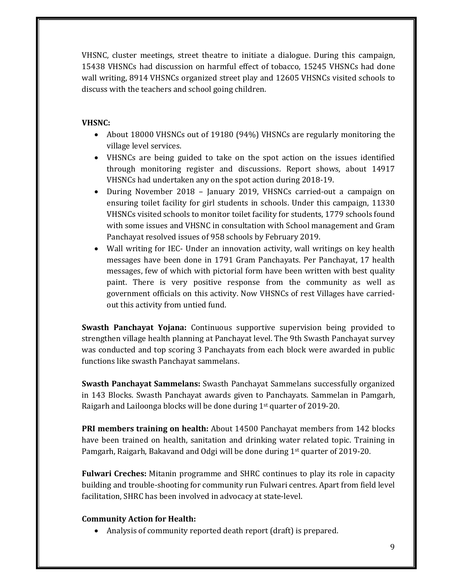VHSNC, cluster meetings, street theatre to initiate a dialogue. During this campaign, 15438 VHSNCs had discussion on harmful effect of tobacco, 15245 VHSNCs had done wall writing, 8914 VHSNCs organized street play and 12605 VHSNCs visited schools to discuss with the teachers and school going children.

## **VHSNC:**

- About 18000 VHSNCs out of 19180 (94%) VHSNCs are regularly monitoring the village level services.
- VHSNCs are being guided to take on the spot action on the issues identified through monitoring register and discussions. Report shows, about 14917 VHSNCs had undertaken any on the spot action during 2018-19.
- During November 2018 January 2019, VHSNCs carried-out a campaign on ensuring toilet facility for girl students in schools. Under this campaign, 11330 VHSNCs visited schools to monitor toilet facility for students, 1779 schools found with some issues and VHSNC in consultation with School management and Gram Panchayat resolved issues of 958 schools by February 2019.
- Wall writing for IEC- Under an innovation activity, wall writings on key health messages have been done in 1791 Gram Panchayats. Per Panchayat, 17 health messages, few of which with pictorial form have been written with best quality paint. There is very positive response from the community as well as government officials on this activity. Now VHSNCs of rest Villages have carriedout this activity from untied fund.

**Swasth Panchayat Yojana:** Continuous supportive supervision being provided to strengthen village health planning at Panchayat level. The 9th Swasth Panchayat survey was conducted and top scoring 3 Panchayats from each block were awarded in public functions like swasth Panchayat sammelans.

**Swasth Panchayat Sammelans:** Swasth Panchayat Sammelans successfully organized in 143 Blocks. Swasth Panchayat awards given to Panchayats. Sammelan in Pamgarh, Raigarh and Lailoonga blocks will be done during  $1<sup>st</sup>$  quarter of 2019-20.

**PRI members training on health:** About 14500 Panchayat members from 142 blocks have been trained on health, sanitation and drinking water related topic. Training in Pamgarh, Raigarh, Bakavand and Odgi will be done during  $1<sup>st</sup>$  quarter of 2019-20.

**Fulwari Creches:** Mitanin programme and SHRC continues to play its role in capacity building and trouble-shooting for community run Fulwari centres. Apart from field level facilitation, SHRC has been involved in advocacy at state-level.

## **Community Action for Health:**

• Analysis of community reported death report (draft) is prepared.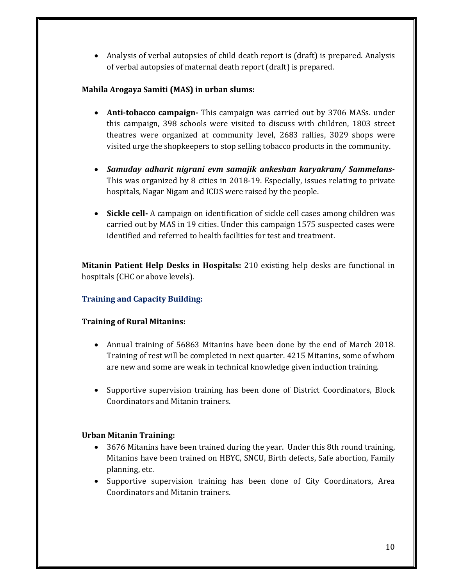• Analysis of verbal autopsies of child death report is (draft) is prepared. Analysis of verbal autopsies of maternal death report (draft) is prepared.

## **Mahila Arogaya Samiti (MAS) in urban slums:**

- **Anti-tobacco campaign** This campaign was carried out by 3706 MASs. under this campaign, 398 schools were visited to discuss with children, 1803 street theatres were organized at community level, 2683 rallies, 3029 shops were visited urge the shopkeepers to stop selling tobacco products in the community.
- *Samuday adharit nigrani evm samajik ankeshan karyakram/ Sammelans***‐** This was organized by 8 cities in 2018-19. Especially, issues relating to private hospitals, Nagar Nigam and ICDS were raised by the people.
- **Sickle cell** A campaign on identification of sickle cell cases among children was carried out by MAS in 19 cities. Under this campaign 1575 suspected cases were identified and referred to health facilities for test and treatment.

**Mitanin Patient Help Desks in Hospitals:** 210 existing help desks are functional in hospitals (CHC or above levels).

# **Training and Capacity Building:**

## **Training of Rural Mitanins:**

- Annual training of 56863 Mitanins have been done by the end of March 2018. Training of rest will be completed in next quarter. 4215 Mitanins, some of whom are new and some are weak in technical knowledge given induction training.
- Supportive supervision training has been done of District Coordinators, Block Coordinators and Mitanin trainers.

## **Urban Mitanin Training:**

- 3676 Mitanins have been trained during the year. Under this 8th round training, Mitanins have been trained on HBYC, SNCU, Birth defects, Safe abortion, Family planning, etc.
- Supportive supervision training has been done of City Coordinators, Area Coordinators and Mitanin trainers.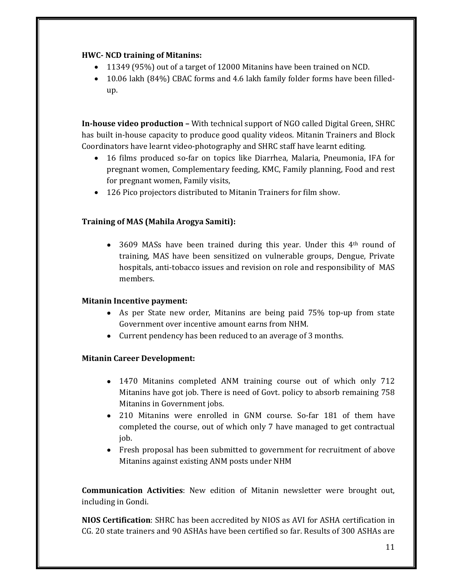## **HWC‐ NCD training of Mitanins:**

- 11349 (95%) out of a target of 12000 Mitanins have been trained on NCD.
- 10.06 lakh (84%) CBAC forms and 4.6 lakh family folder forms have been filledup.

**In-house video production** – With technical support of NGO called Digital Green, SHRC has built in-house capacity to produce good quality videos. Mitanin Trainers and Block Coordinators have learnt video-photography and SHRC staff have learnt editing.

- 16 films produced so-far on topics like Diarrhea, Malaria, Pneumonia, IFA for pregnant women, Complementary feeding, KMC, Family planning, Food and rest for pregnant women, Family visits,
- 126 Pico projectors distributed to Mitanin Trainers for film show.

# **Training of MAS (Mahila Arogya Samiti):**

• 3609 MASs have been trained during this year. Under this  $4<sup>th</sup>$  round of training, MAS have been sensitized on vulnerable groups, Dengue, Private hospitals, anti-tobacco issues and revision on role and responsibility of MAS members. 

# **Mitanin Incentive payment:**

- As per State new order, Mitanins are being paid 75% top-up from state Government over incentive amount earns from NHM.
- Current pendency has been reduced to an average of 3 months.

# **Mitanin Career Development:**

- 1470 Mitanins completed ANM training course out of which only 712 Mitanins have got job. There is need of Govt. policy to absorb remaining  $758$ Mitanins in Government jobs.
- 210 Mitanins were enrolled in GNM course. So-far 181 of them have completed the course, out of which only 7 have managed to get contractual job.
- Fresh proposal has been submitted to government for recruitment of above Mitanins against existing ANM posts under NHM

**Communication Activities**: New edition of Mitanin newsletter were brought out, including in Gondi.

**NIOS Certification**: SHRC has been accredited by NIOS as AVI for ASHA certification in CG. 20 state trainers and 90 ASHAs have been certified so far. Results of 300 ASHAs are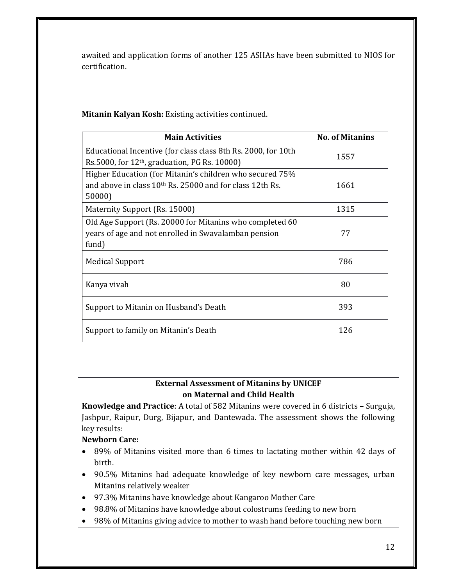awaited and application forms of another 125 ASHAs have been submitted to NIOS for certification. 

**Mitanin Kalyan Kosh:** Existing activities continued.

| <b>Main Activities</b>                                               | <b>No. of Mitanins</b> |  |
|----------------------------------------------------------------------|------------------------|--|
| Educational Incentive (for class class 8th Rs. 2000, for 10th        | 1557                   |  |
| Rs.5000, for $12th$ , graduation, PG Rs. 10000)                      |                        |  |
| Higher Education (for Mitanin's children who secured 75%             |                        |  |
| and above in class 10 <sup>th</sup> Rs. 25000 and for class 12th Rs. | 1661                   |  |
| 50000)                                                               |                        |  |
| Maternity Support (Rs. 15000)                                        | 1315                   |  |
| Old Age Support (Rs. 20000 for Mitanins who completed 60             |                        |  |
| years of age and not enrolled in Swavalamban pension                 | 77                     |  |
| fund)                                                                |                        |  |
| <b>Medical Support</b>                                               | 786                    |  |
|                                                                      |                        |  |
| Kanya vivah                                                          | 80                     |  |
| Support to Mitanin on Husband's Death                                | 393                    |  |
|                                                                      |                        |  |
| Support to family on Mitanin's Death                                 | 126                    |  |
|                                                                      |                        |  |

# **External Assessment of Mitanins by UNICEF on Maternal and Child Health**

**Knowledge and Practice**: A total of 582 Mitanins were covered in 6 districts - Surguja, Jashpur, Raipur, Durg, Bijapur, and Dantewada. The assessment shows the following key results:

# **Newborn Care:**

- 89% of Mitanins visited more than 6 times to lactating mother within 42 days of birth.
- 90.5% Mitanins had adequate knowledge of key newborn care messages, urban Mitanins relatively weaker
- 97.3% Mitanins have knowledge about Kangaroo Mother Care
- 98.8% of Mitanins have knowledge about colostrums feeding to new born
- 98% of Mitanins giving advice to mother to wash hand before touching new born